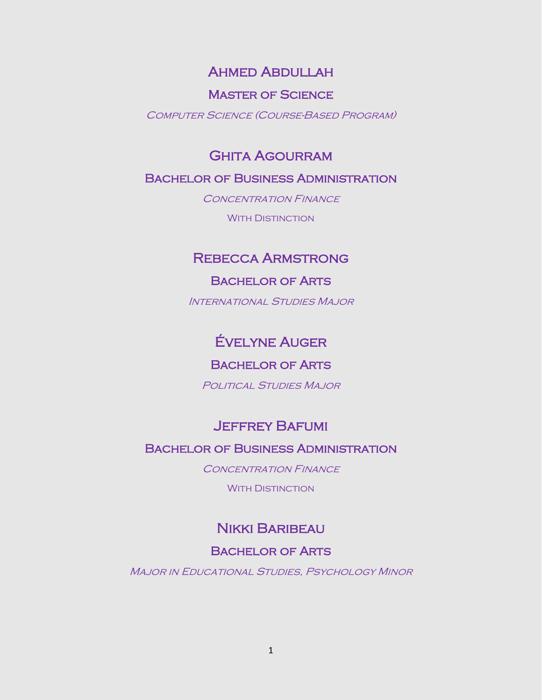### Ahmed Abdullah

#### Master of Science

Computer Science (Course-Based Program)

### Ghita Agourram

#### Bachelor of Business Administration

CONCENTRATION FINANCE WITH DISTINCTION

## Rebecca Armstrong

#### Bachelor of Arts

International Studies Major

## Évelyne Auger

#### Bachelor of Arts

POLITICAL STUDIES MAJOR

## Jeffrey Bafumi

### Bachelor of Business Administration

CONCENTRATION FINANCE

**WITH DISTINCTION** 

### Nikki Baribeau

#### Bachelor of Arts

**MAJOR IN EDUCATIONAL STUDIES, PSYCHOLOGY MINOR**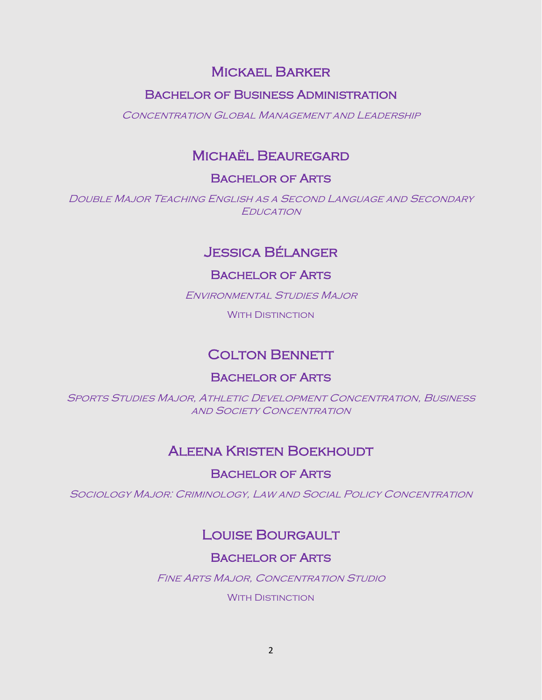## Mickael Barker

### Bachelor of Business Administration

Concentration Global Management and Leadership

## Michaël Beauregard

### Bachelor of Arts

Double Major Teaching English as a Second Language and Secondary **EDUCATION** 

## Jessica Bélanger

#### Bachelor of Arts

Environmental Studies Major

**WITH DISTINCTION** 

## **COLTON BENNETT**

#### Bachelor of Arts

Sports Studies Major, Athletic Development Concentration, Business **AND SOCIETY CONCENTRATION** 

## Aleena Kristen Boekhoudt

Bachelor of Arts

Sociology Major: Criminology, Law and Social Policy Concentration

## Louise Bourgault

### Bachelor of Arts

Fine Arts Major, Concentration Studio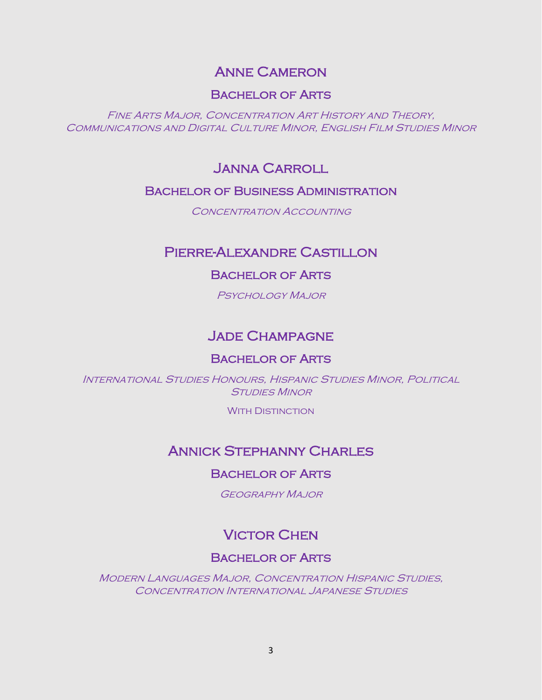## Anne Cameron

#### Bachelor of Arts

Fine Arts Major, Concentration Art History and Theory, Communications and Digital Culture Minor, English Film Studies Minor

### Janna Carroll

#### Bachelor of Business Administration

CONCENTRATION ACCOUNTING

### Pierre-Alexandre Castillon

#### Bachelor of Arts

Psychology Major

### Jade Champagne

#### Bachelor of Arts

International Studies Honours, Hispanic Studies Minor, Political **STUDIES MINOR** 

WITH DISTINCTION

### Annick Stephanny Charles

#### Bachelor of Arts

Geography Major

## **VICTOR CHEN**

#### Bachelor of Arts

Modern Languages Major, Concentration Hispanic Studies, Concentration International Japanese Studies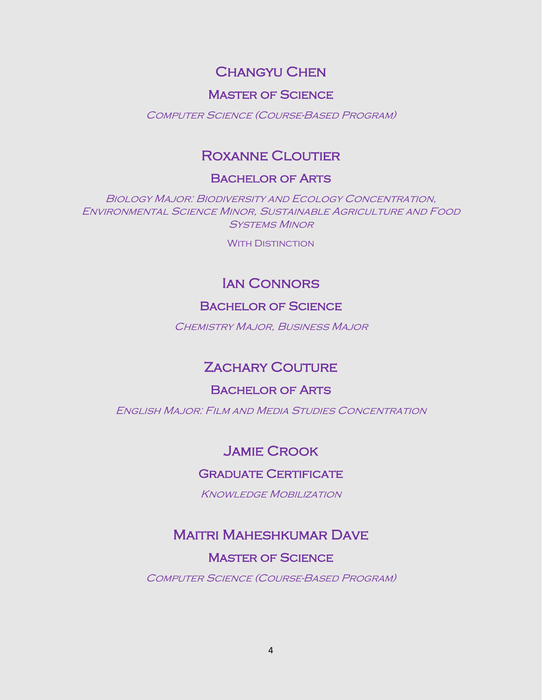## Changyu Chen

#### Master of Science

Computer Science (Course-Based Program)

## Roxanne Cloutier

#### Bachelor of Arts

Biology Major: Biodiversity and Ecology Concentration, Environmental Science Minor, Sustainable Agriculture and Food Systems Minor

WITH DISTINCTION

## Ian Connors

#### Bachelor of Science

Chemistry Major, Business Major

## **ZACHARY COUTURE**

#### Bachelor of Arts

English Major: Film and Media Studies Concentration

### Jamie Crook

#### Graduate Certificate

Knowledge Mobilization

## Maitri Maheshkumar Dave

#### Master of Science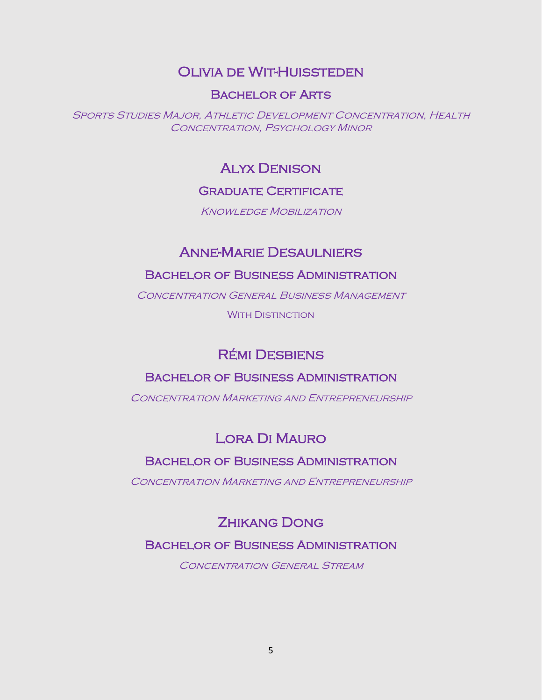## Olivia de Wit-Huissteden

#### Bachelor of Arts

Sports Studies Major, Athletic Development Concentration, Health Concentration, Psychology Minor

### Alyx Denison

#### Graduate Certificate

**KNOWLEDGE MOBILIZATION** 

## Anne-Marie Desaulniers

#### Bachelor of Business Administration

Concentration General Business Management

**WITH DISTINCTION** 

## Rémi Desbiens

#### Bachelor of Business Administration

CONCENTRATION MARKETING AND ENTREPRENEURSHIP

## Lora Di Mauro

### Bachelor of Business Administration

CONCENTRATION MARKETING AND ENTREPRENEURSHIP

## Zhikang Dong

#### Bachelor of Business Administration

CONCENTRATION GENERAL STREAM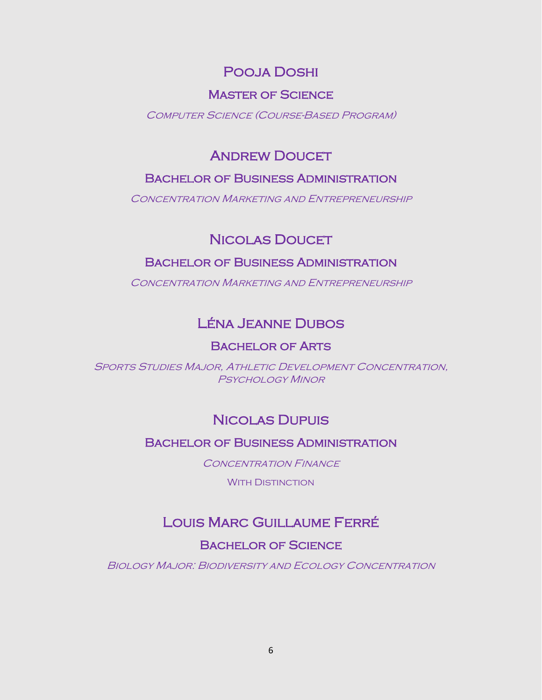# Pooja Doshi

### Master of Science

#### Computer Science (Course-Based Program)

# **ANDREW DOUCET**

### Bachelor of Business Administration

Concentration Marketing and Entrepreneurship

## **NICOLAS DOUCET**

### Bachelor of Business Administration

CONCENTRATION MARKETING AND ENTREPRENEURSHIP

# Léna Jeanne Dubos

### Bachelor of Arts

Sports Studies Major, Athletic Development Concentration, Psychology Minor

## Nicolas Dupuis

### Bachelor of Business Administration

CONCENTRATION FINANCE

WITH DISTINCTION

## Louis Marc Guillaume Ferré

### Bachelor of Science

Biology Major: Biodiversity and Ecology Concentration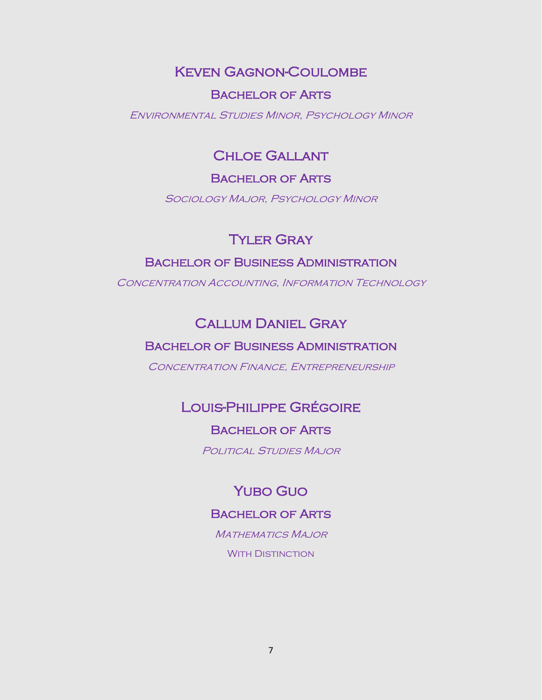## Keven Gagnon-Coulombe

#### Bachelor of Arts

Environmental Studies Minor, Psychology Minor

### Chloe Gallant

#### Bachelor of Arts

Sociology Major, Psychology Minor

## Tyler Gray

### Bachelor of Business Administration

CONCENTRATION ACCOUNTING, INFORMATION TECHNOLOGY

### Callum Daniel Gray

#### Bachelor of Business Administration

Concentration Finance, Entrepreneurship

## Louis-Philippe Grégoire

#### Bachelor of Arts

Political Studies Major

### Yubo Guo

#### Bachelor of Arts

MATHEMATICS MAJOR WITH DISTINCTION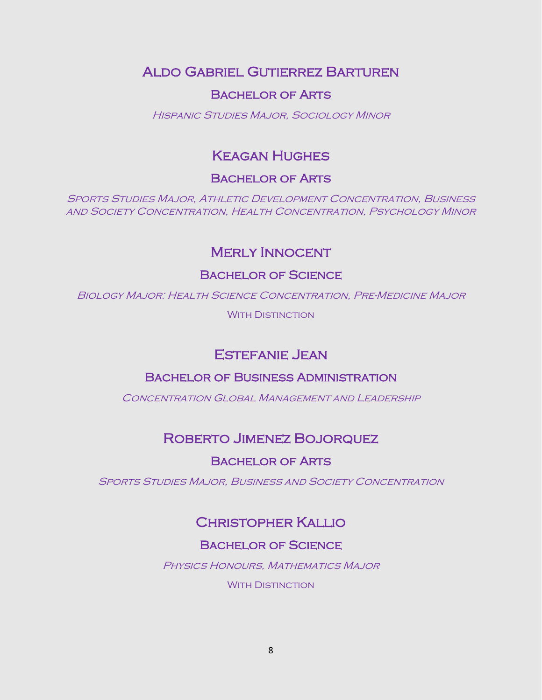Aldo Gabriel Gutierrez Barturen

### Bachelor of Arts

Hispanic Studies Major, Sociology Minor

# Keagan Hughes

### Bachelor of Arts

Sports Studies Major, Athletic Development Concentration, Business and Society Concentration, Health Concentration, Psychology Minor

## Merly Innocent

### Bachelor of Science

Biology Major: Health Science Concentration, Pre-Medicine Major

**WITH DISTINCTION** 

## Estefanie Jean

### Bachelor of Business Administration

CONCENTRATION GLOBAL MANAGEMENT AND LEADERSHIP

## Roberto Jimenez Bojorquez

### Bachelor of Arts

Sports Studies Major, Business and Society Concentration

# Christopher Kallio

### Bachelor of Science

Physics Honours, Mathematics Major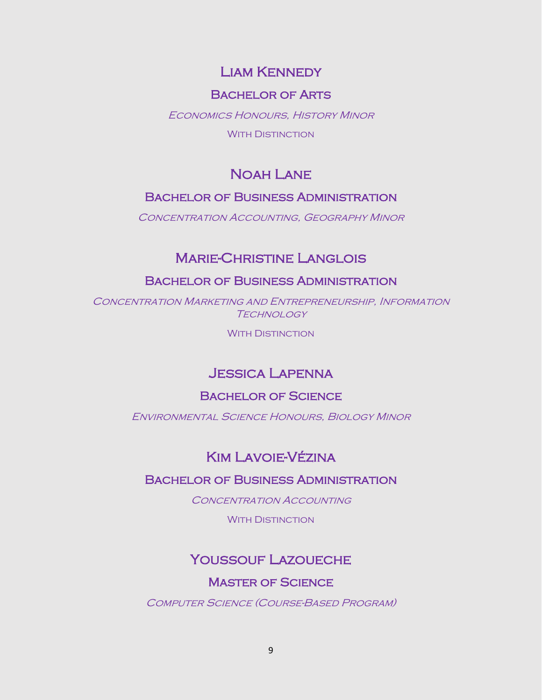## Liam Kennedy

### Bachelor of Arts

Economics Honours, History Minor

**WITH DISTINCTION** 

# Noah Lane

### Bachelor of Business Administration

Concentration Accounting, Geography Minor

## Marie-Christine Langlois

#### Bachelor of Business Administration

Concentration Marketing and Entrepreneurship, Information **TECHNOLOGY** 

**WITH DISTINCTION** 

## Jessica Lapenna

#### Bachelor of Science

Environmental Science Honours, Biology Minor

## Kim Lavoie-Vézina

#### Bachelor of Business Administration

CONCENTRATION ACCOUNTING

**WITH DISTINCTION** 

## Youssouf Lazoueche

#### Master of Science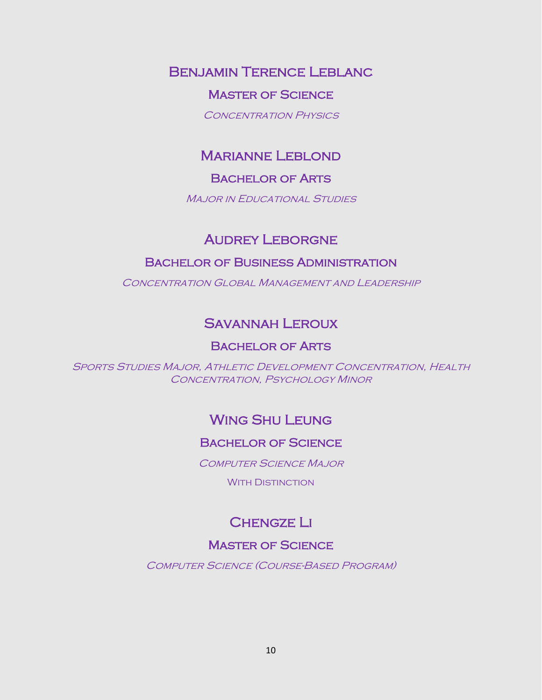Benjamin Terence Leblanc

### Master of Science

CONCENTRATION PHYSICS

## Marianne Leblond

### Bachelor of Arts

**MAJOR IN EDUCATIONAL STUDIES** 

### **AUDREY LEBORGNE**

### Bachelor of Business Administration

Concentration Global Management and Leadership

## Savannah Leroux

### Bachelor of Arts

Sports Studies Major, Athletic Development Concentration, Health CONCENTRATION, PSYCHOLOGY MINOR

## Wing Shu Leung

#### Bachelor of Science

Computer Science Major

**WITH DISTINCTION** 

# **CHENGZE LI**

### Master of Science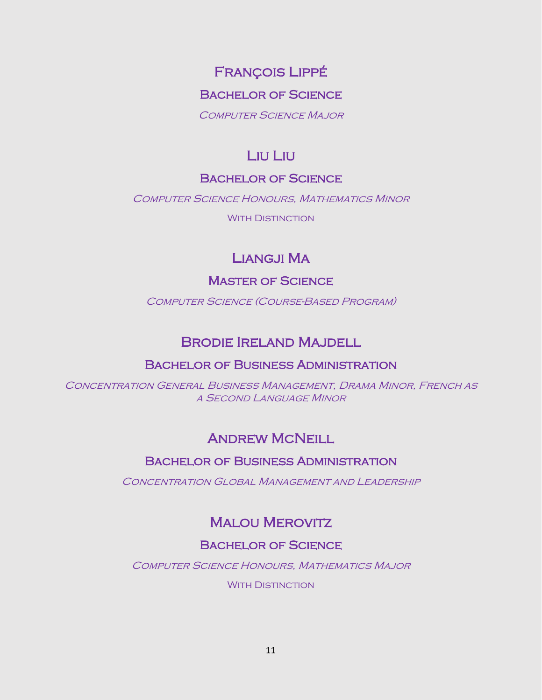# François Lippé

### Bachelor of Science

Computer Science Major

# Liu Liu

### Bachelor of Science

Computer Science Honours, Mathematics Minor

WITH DISTINCTION

# Liangji Ma

### Master of Science

Computer Science (Course-Based Program)

## Brodie Ireland Majdell

#### Bachelor of Business Administration

Concentration General Business Management, Drama Minor, French as a Second Language Minor

## **ANDREW MCNEILL**

### Bachelor of Business Administration

Concentration Global Management and Leadership

# Malou Merovitz

### Bachelor of Science

Computer Science Honours, Mathematics Major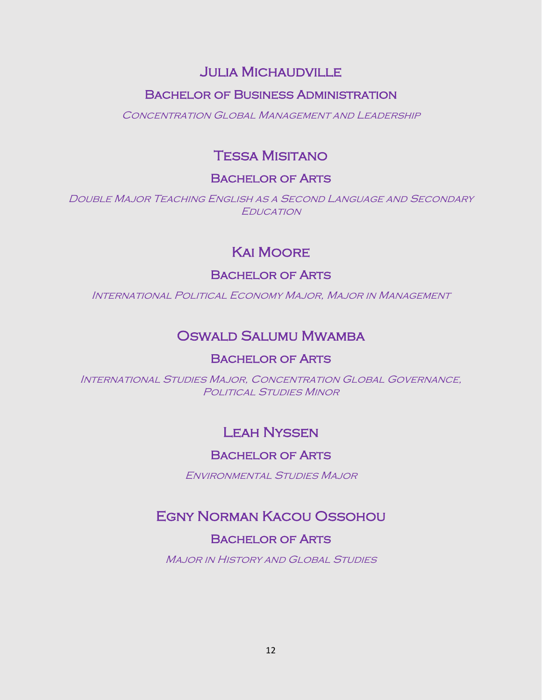## Julia Michaudville

### Bachelor of Business Administration

Concentration Global Management and Leadership

# Tessa Misitano

### Bachelor of Arts

Double Major Teaching English as a Second Language and Secondary **EDUCATION** 

# Kai Moore

### Bachelor of Arts

International Political Economy Major, Major in Management

## Oswald Salumu Mwamba

### Bachelor of Arts

International Studies Major, Concentration Global Governance, POLITICAL STUDIES MINOR

# Leah Nyssen

### Bachelor of Arts

Environmental Studies Major

## Egny Norman Kacou Ossohou

### Bachelor of Arts

**MAJOR IN HISTORY AND GLOBAL STUDIES**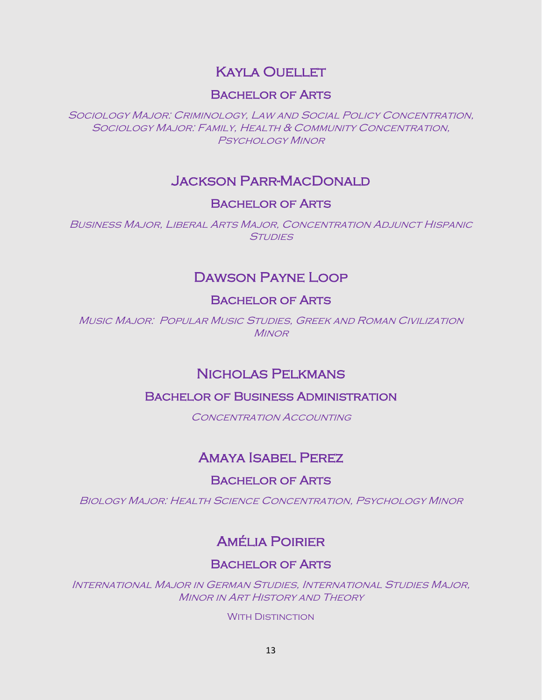## **KAYLA OUELLET**

### Bachelor of Arts

Sociology Major: Criminology, Law and Social Policy Concentration, Sociology Major: Family, Health & Community Concentration, Psychology Minor

## Jackson Parr-MacDonald

### Bachelor of Arts

Business Major, Liberal Arts Major, Concentration Adjunct Hispanic **STUDIES** 

## Dawson Payne Loop

### Bachelor of Arts

Music Major: Popular Music Studies, Greek and Roman Civilization **MINOR** 

## Nicholas Pelkmans

### Bachelor of Business Administration

CONCENTRATION ACCOUNTING

## Amaya Isabel Perez

### Bachelor of Arts

Biology Major: Health Science Concentration, Psychology Minor

## Amélia Poirier

### Bachelor of Arts

International Major in German Studies, International Studies Major, Minor in Art History and Theory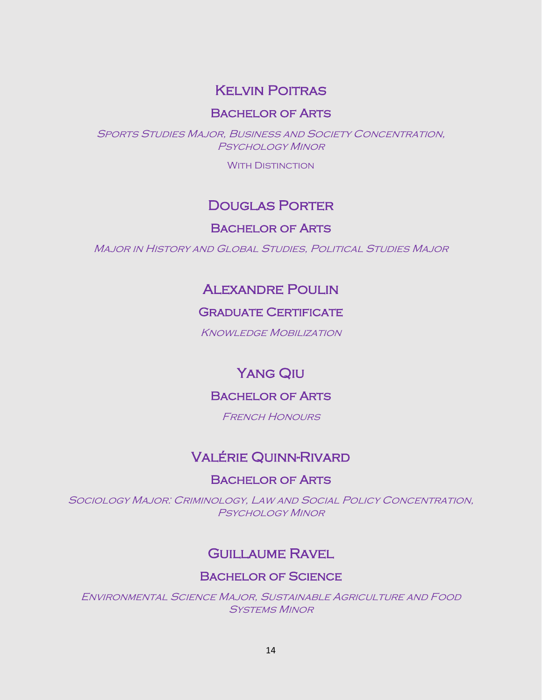## Kelvin Poitras

### Bachelor of Arts

Sports Studies Major, Business and Society Concentration, Psychology Minor

**WITH DISTINCTION** 

## Douglas Porter

#### Bachelor of Arts

Major in History and Global Studies, Political Studies Major

## Alexandre Poulin

### **GRADUATE CERTIFICATE**

Knowledge Mobilization

## Yang Qiu

### Bachelor of Arts

**FRENCH HONOURS** 

## Valérie Quinn-Rivard

#### Bachelor of Arts

Sociology Major: Criminology, Law and Social Policy Concentration, Psychology Minor

## Guillaume Ravel

#### Bachelor of Science

Environmental Science Major, Sustainable Agriculture and Food Systems Minor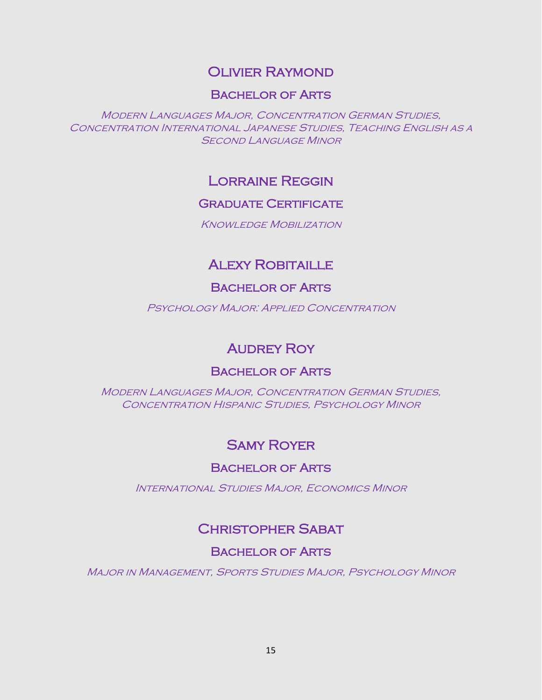## Olivier Raymond

#### Bachelor of Arts

Modern Languages Major, Concentration German Studies, Concentration International Japanese Studies, Teaching English as a **SECOND LANGUAGE MINOR** 

### Lorraine Reggin

#### **GRADUATE CERTIFICATE**

**KNOWLEDGE MOBILIZATION** 

## **ALEXY ROBITAILLE**

#### Bachelor of Arts

PSYCHOLOGY MAJOR: APPLIED CONCENTRATION

## **AUDREY ROY**

### Bachelor of Arts

Modern Languages Major, Concentration German Studies, CONCENTRATION HISPANIC STUDIES, PSYCHOLOGY MINOR

## Samy Royer

#### Bachelor of Arts

International Studies Major, Economics Minor

## Christopher Sabat

#### Bachelor of Arts

Major in Management, Sports Studies Major, Psychology Minor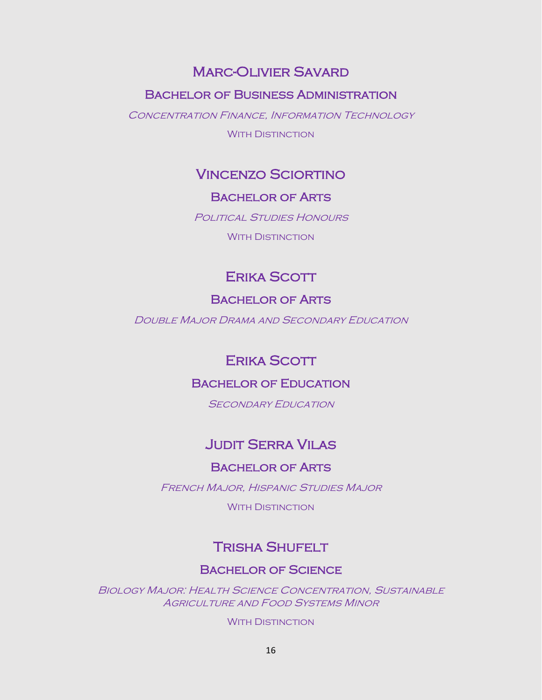### Marc-Olivier Savard

#### Bachelor of Business Administration

CONCENTRATION FINANCE, INFORMATION TECHNOLOGY

**WITH DISTINCTION** 

### Vincenzo Sciortino

#### Bachelor of Arts

POLITICAL STUDIES HONOURS

WITH DISTINCTION

## Erika Scott

#### Bachelor of Arts

Double Major Drama and Secondary Education

### Erika Scott

#### Bachelor of Education

**SECONDARY EDUCATION** 

## Judit Serra Vilas

#### Bachelor of Arts

French Major, Hispanic Studies Major

**WITH DISTINCTION** 

## Trisha Shufelt

#### Bachelor of Science

Biology Major: Health Science Concentration, Sustainable **AGRICULTURE AND FOOD SYSTEMS MINOR**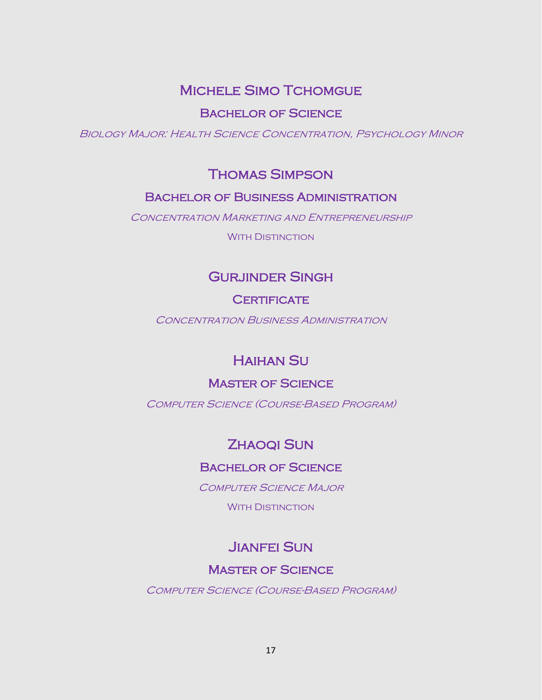## MICHELE SIMO TCHOMGUE

Bachelor of Science

Biology Major: Health Science Concentration, Psychology Minor

## Thomas Simpson

### Bachelor of Business Administration

CONCENTRATION MARKETING AND ENTREPRENEURSHIP

WITH DISTINCTION

## Gurjinder Singh

#### **CERTIFICATE**

Concentration Business Administration

## Haihan Su

### Master of Science

Computer Science (Course-Based Program)

# ZHAOQI SUN

### Bachelor of Science

COMPUTER SCIENCE MAJOR

**WITH DISTINCTION** 

## Jianfei Sun

### Master of Science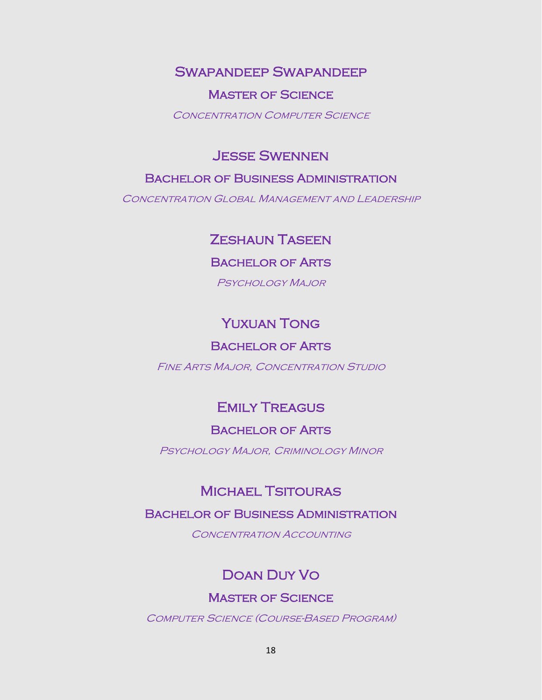### Swapandeep Swapandeep

#### Master of Science

CONCENTRATION COMPUTER SCIENCE

### Jesse Swennen

#### Bachelor of Business Administration

Concentration Global Management and Leadership

## Zeshaun Taseen

#### Bachelor of Arts

Psychology Major

## Yuxuan Tong

### Bachelor of Arts

Fine Arts Major, Concentration Studio

## Emily Treagus

### Bachelor of Arts

Psychology Major, Criminology Minor

## Michael Tsitouras

#### Bachelor of Business Administration

CONCENTRATION ACCOUNTING

## Doan Duy Vo

### **MASTER OF SCIENCE**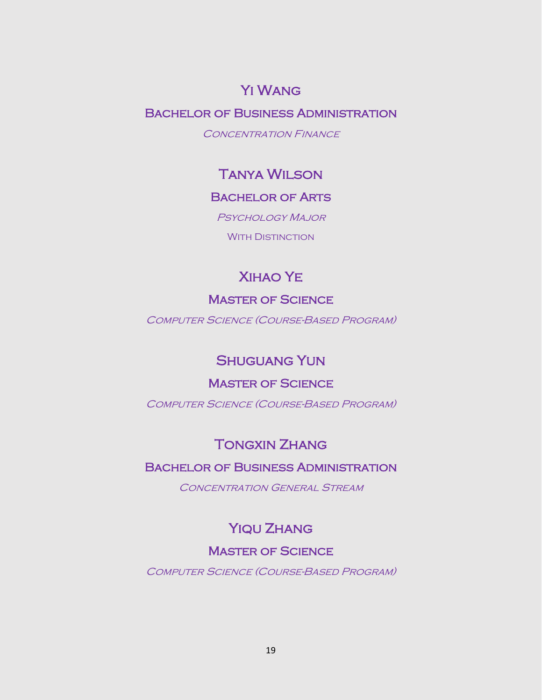## Yi Wang

### Bachelor of Business Administration

CONCENTRATION FINANCE

## Tanya Wilson

#### Bachelor of Arts

Psychology Major

WITH DISTINCTION

# Xihao Ye

#### **MASTER OF SCIENCE**

Computer Science (Course-Based Program)

## Shuguang Yun

#### **MASTER OF SCIENCE**

Computer Science (Course-Based Program)

# Tongxin Zhang

### Bachelor of Business Administration

Concentration General Stream

### YIQU ZHANG

### Master of Science